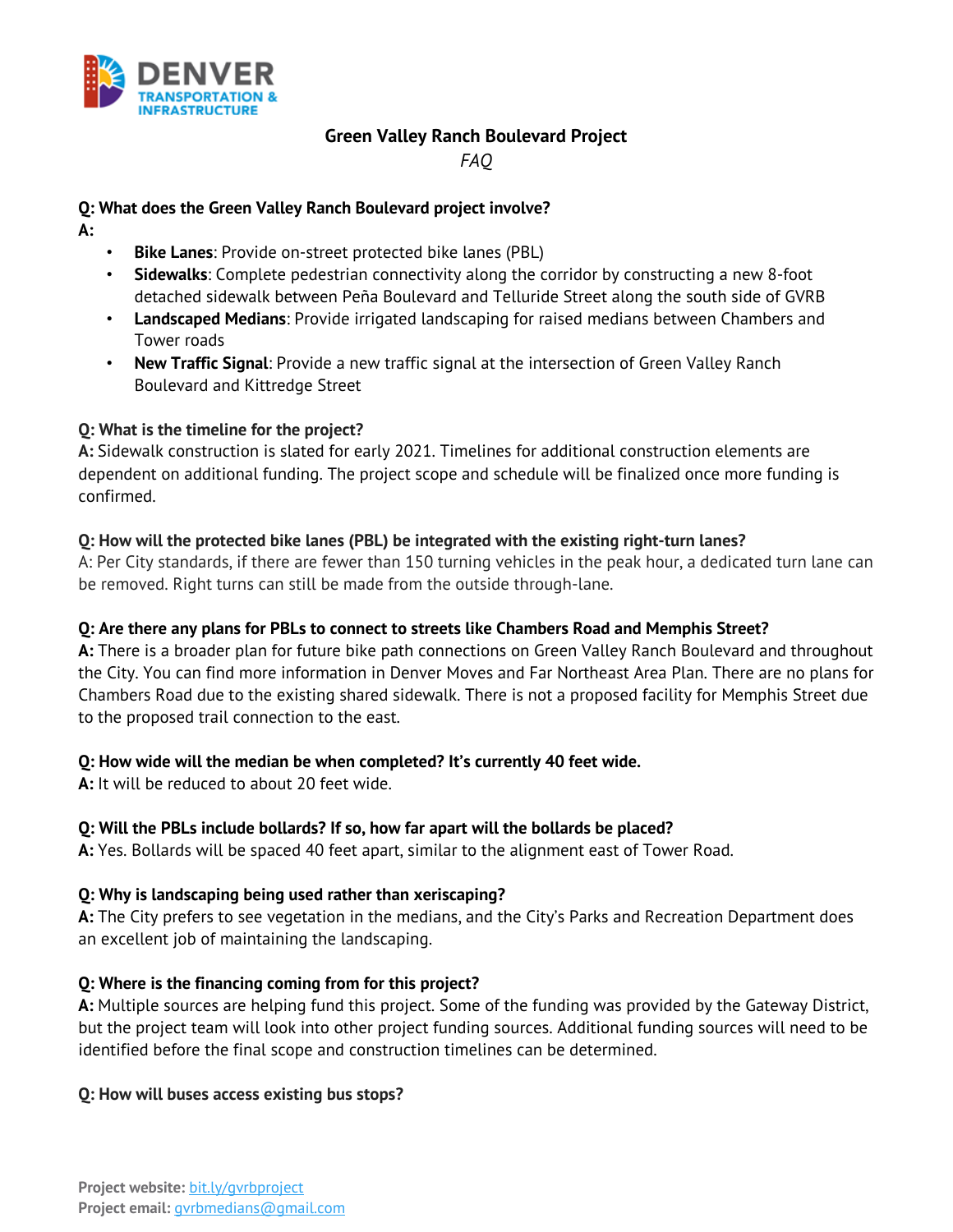

# **Green Valley Ranch Boulevard Project**

*FAQ* 

## **Q: What does the Green Valley Ranch Boulevard project involve?**

- **A:**
- **Bike Lanes:** Provide on-street protected bike lanes (PBL)
- **Sidewalks**: Complete pedestrian connectivity along the corridor by constructing a new 8-foot detached sidewalk between Peña Boulevard and Telluride Street along the south side of GVRB
- **Landscaped Medians**: Provide irrigated landscaping for raised medians between Chambers and Tower roads
- **New Traffic Signal**: Provide a new traffic signal at the intersection of Green Valley Ranch Boulevard and Kittredge Street

## **Q: What is the timeline for the project?**

**A:** Sidewalk construction is slated for early 2021. Timelines for additional construction elements are dependent on additional funding. The project scope and schedule will be finalized once more funding is confirmed.

## **Q: How will the protected bike lanes (PBL) be integrated with the existing right-turn lanes?**

A: Per City standards, if there are fewer than 150 turning vehicles in the peak hour, a dedicated turn lane can be removed. Right turns can still be made from the outside through-lane.

## **Q: Are there any plans for PBLs to connect to streets like Chambers Road and Memphis Street?**

**A:** There is a broader plan for future bike path connections on Green Valley Ranch Boulevard and throughout the City. You can find more information in Denver Moves and Far Northeast Area Plan. There are no plans for Chambers Road due to the existing shared sidewalk. There is not a proposed facility for Memphis Street due to the proposed trail connection to the east.

## **Q: How wide will the median be when completed? It's currently 40 feet wide.**

**A:** It will be reduced to about 20 feet wide.

## **Q: Will the PBLs include bollards? If so, how far apart will the bollards be placed?**

**A:** Yes. Bollards will be spaced 40 feet apart, similar to the alignment east of Tower Road.

## **Q: Why is landscaping being used rather than xeriscaping?**

**A:** The City prefers to see vegetation in the medians, and the City's Parks and Recreation Department does an excellent job of maintaining the landscaping.

## **Q: Where is the financing coming from for this project?**

**A:** Multiple sources are helping fund this project. Some of the funding was provided by the Gateway District, but the project team will look into other project funding sources. Additional funding sources will need to be identified before the final scope and construction timelines can be determined.

## **Q: How will buses access existing bus stops?**